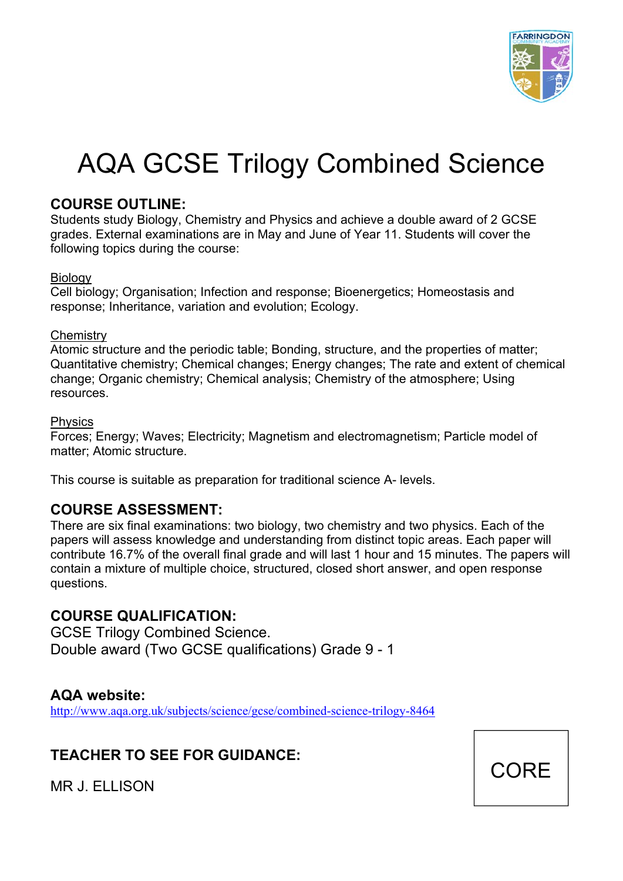

# AQA GCSE Trilogy Combined Science

### **COURSE OUTLINE:**

Students study Biology, Chemistry and Physics and achieve a double award of 2 GCSE grades. External examinations are in May and June of Year 11. Students will cover the following topics during the course:

### Biology

Cell biology; Organisation; Infection and response; Bioenergetics; Homeostasis and response; Inheritance, variation and evolution; Ecology.

### **Chemistrv**

Atomic structure and the periodic table; Bonding, structure, and the properties of matter; Quantitative chemistry; Chemical changes; Energy changes; The rate and extent of chemical change; Organic chemistry; Chemical analysis; Chemistry of the atmosphere; Using resources.

### Physics

Forces; Energy; Waves; Electricity; Magnetism and electromagnetism; Particle model of matter; Atomic structure.

This course is suitable as preparation for traditional science A- levels.

# **COURSE ASSESSMENT:**

There are six final examinations: two biology, two chemistry and two physics. Each of the papers will assess knowledge and understanding from distinct topic areas. Each paper will contribute 16.7% of the overall final grade and will last 1 hour and 15 minutes. The papers will contain a mixture of multiple choice, structured, closed short answer, and open response questions.

# **COURSE QUALIFICATION:**

GCSE Trilogy Combined Science. Double award (Two GCSE qualifications) Grade 9 - 1

# **AQA website:**

http://www.aqa.org.uk/subjects/science/gcse/combined-science-trilogy-8464

# **TEACHER TO SEE FOR GUIDANCE:**



MR J. ELLISON